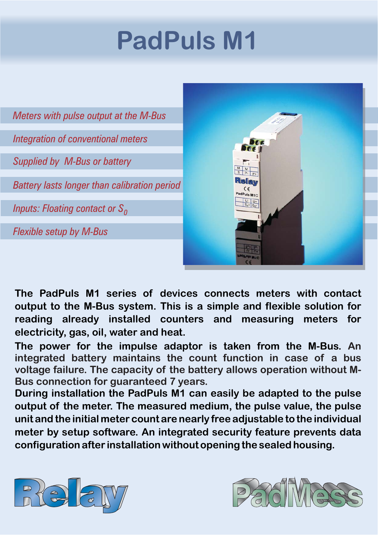# **PadPuls M1**



**The PadPuls M1 series of devices connects meters with contact output to the M-Bus system. This is a simple and flexible solution for reading already installed counters and measuring meters for electricity, gas, oil, water and heat.**

**The power for the impulse adaptor is taken from the M-Bus. An integrated battery maintains the count function in case of a bus voltage failure. The capacity of the battery allows operation without M-Bus connection for guaranteed 7 years.**

**During installation the PadPuls M1 can easily be adapted to the pulse** output of the meter. The measured medium, the pulse value, the pulse meter by setup software. An integrated security feature prevents data **configuration after installation without opening the sealed housing. unit and the initial meter count are nearly free adjustable to the individual**